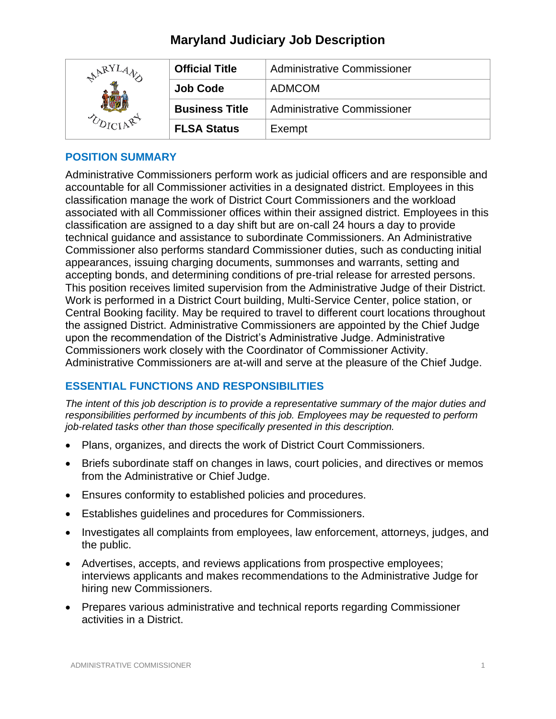| <b>ARY</b> | <b>Official Title</b> | Administrative Commissioner |
|------------|-----------------------|-----------------------------|
|            | <b>Job Code</b>       | <b>ADMCOM</b>               |
|            | <b>Business Title</b> | Administrative Commissioner |
|            | <b>FLSA Status</b>    | Exempt                      |

## **POSITION SUMMARY**

Administrative Commissioners perform work as judicial officers and are responsible and accountable for all Commissioner activities in a designated district. Employees in this classification manage the work of District Court Commissioners and the workload associated with all Commissioner offices within their assigned district. Employees in this classification are assigned to a day shift but are on-call 24 hours a day to provide technical guidance and assistance to subordinate Commissioners. An Administrative Commissioner also performs standard Commissioner duties, such as conducting initial appearances, issuing charging documents, summonses and warrants, setting and accepting bonds, and determining conditions of pre-trial release for arrested persons. This position receives limited supervision from the Administrative Judge of their District. Work is performed in a District Court building, Multi-Service Center, police station, or Central Booking facility. May be required to travel to different court locations throughout the assigned District. Administrative Commissioners are appointed by the Chief Judge upon the recommendation of the District's Administrative Judge. Administrative Commissioners work closely with the Coordinator of Commissioner Activity. Administrative Commissioners are at-will and serve at the pleasure of the Chief Judge.

## **ESSENTIAL FUNCTIONS AND RESPONSIBILITIES**

*The intent of this job description is to provide a representative summary of the major duties and responsibilities performed by incumbents of this job. Employees may be requested to perform job-related tasks other than those specifically presented in this description.*

- Plans, organizes, and directs the work of District Court Commissioners.
- Briefs subordinate staff on changes in laws, court policies, and directives or memos from the Administrative or Chief Judge.
- Ensures conformity to established policies and procedures.
- Establishes guidelines and procedures for Commissioners.
- Investigates all complaints from employees, law enforcement, attorneys, judges, and the public.
- Advertises, accepts, and reviews applications from prospective employees; interviews applicants and makes recommendations to the Administrative Judge for hiring new Commissioners.
- Prepares various administrative and technical reports regarding Commissioner activities in a District.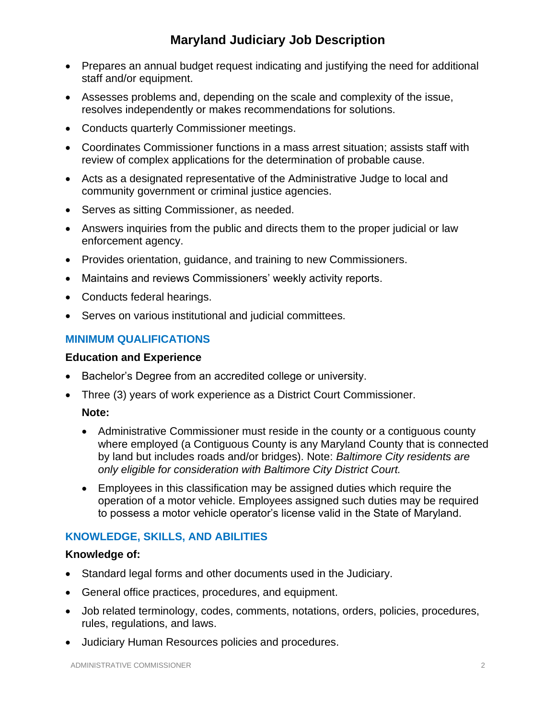- Prepares an annual budget request indicating and justifying the need for additional staff and/or equipment.
- Assesses problems and, depending on the scale and complexity of the issue, resolves independently or makes recommendations for solutions.
- Conducts quarterly Commissioner meetings.
- Coordinates Commissioner functions in a mass arrest situation; assists staff with review of complex applications for the determination of probable cause.
- Acts as a designated representative of the Administrative Judge to local and community government or criminal justice agencies.
- Serves as sitting Commissioner, as needed.
- Answers inquiries from the public and directs them to the proper judicial or law enforcement agency.
- Provides orientation, guidance, and training to new Commissioners.
- Maintains and reviews Commissioners' weekly activity reports.
- Conducts federal hearings.
- Serves on various institutional and judicial committees.

## **MINIMUM QUALIFICATIONS**

### **Education and Experience**

- Bachelor's Degree from an accredited college or university.
- Three (3) years of work experience as a District Court Commissioner.

## **Note:**

- Administrative Commissioner must reside in the county or a contiguous county where employed (a Contiguous County is any Maryland County that is connected by land but includes roads and/or bridges). Note: *Baltimore City residents are only eligible for consideration with Baltimore City District Court.*
- Employees in this classification may be assigned duties which require the operation of a motor vehicle. Employees assigned such duties may be required to possess a motor vehicle operator's license valid in the State of Maryland.

## **KNOWLEDGE, SKILLS, AND ABILITIES**

#### **Knowledge of:**

- Standard legal forms and other documents used in the Judiciary.
- General office practices, procedures, and equipment.
- Job related terminology, codes, comments, notations, orders, policies, procedures, rules, regulations, and laws.
- Judiciary Human Resources policies and procedures.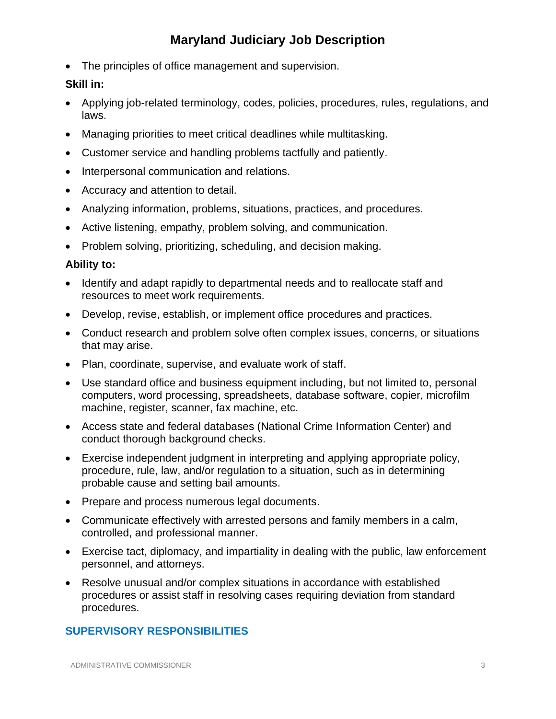• The principles of office management and supervision.

### **Skill in:**

- Applying job-related terminology, codes, policies, procedures, rules, regulations, and laws.
- Managing priorities to meet critical deadlines while multitasking.
- Customer service and handling problems tactfully and patiently.
- Interpersonal communication and relations.
- Accuracy and attention to detail.
- Analyzing information, problems, situations, practices, and procedures.
- Active listening, empathy, problem solving, and communication.
- Problem solving, prioritizing, scheduling, and decision making.

### **Ability to:**

- Identify and adapt rapidly to departmental needs and to reallocate staff and resources to meet work requirements.
- Develop, revise, establish, or implement office procedures and practices.
- Conduct research and problem solve often complex issues, concerns, or situations that may arise.
- Plan, coordinate, supervise, and evaluate work of staff.
- Use standard office and business equipment including, but not limited to, personal computers, word processing, spreadsheets, database software, copier, microfilm machine, register, scanner, fax machine, etc.
- Access state and federal databases (National Crime Information Center) and conduct thorough background checks.
- Exercise independent judgment in interpreting and applying appropriate policy, procedure, rule, law, and/or regulation to a situation, such as in determining probable cause and setting bail amounts.
- Prepare and process numerous legal documents.
- Communicate effectively with arrested persons and family members in a calm, controlled, and professional manner.
- Exercise tact, diplomacy, and impartiality in dealing with the public, law enforcement personnel, and attorneys.
- Resolve unusual and/or complex situations in accordance with established procedures or assist staff in resolving cases requiring deviation from standard procedures.

## **SUPERVISORY RESPONSIBILITIES**